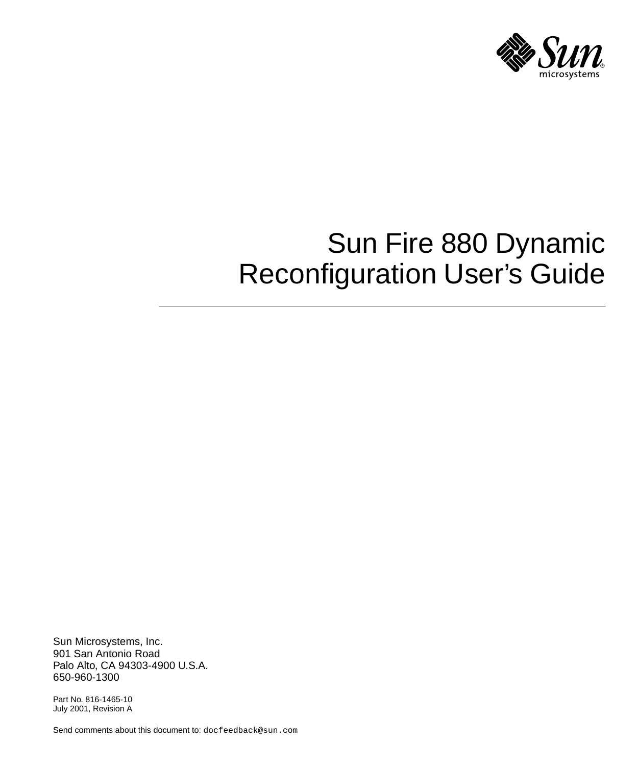

# Sun Fire 880 Dynamic Reconfiguration User's Guide

Sun Microsystems, Inc. 901 San Antonio Road Palo Alto, CA 94303-4900 U.S.A. 650-960-1300

Part No. 816-1465-10 July 2001, Revision A

Send comments about this document to: docfeedback@sun.com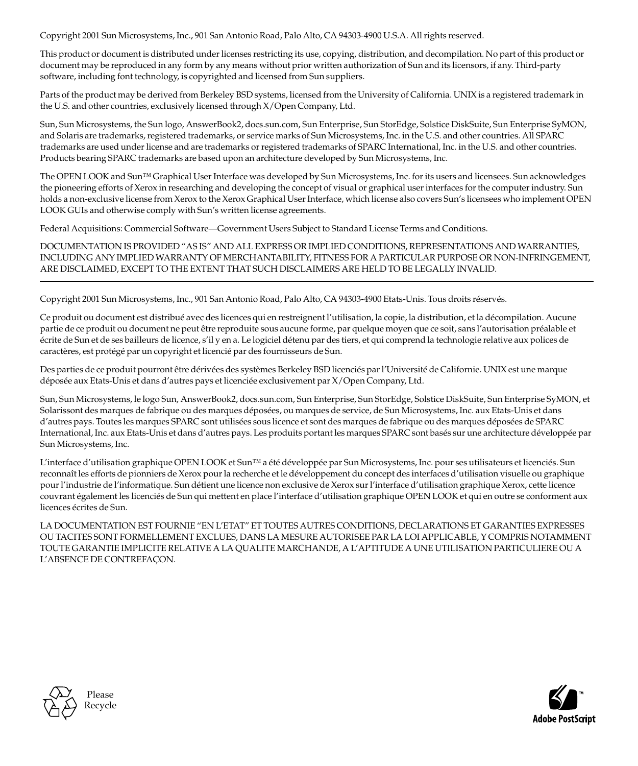Copyright 2001 Sun Microsystems, Inc., 901 San Antonio Road, Palo Alto, CA 94303-4900 U.S.A. All rights reserved.

This product or document is distributed under licenses restricting its use, copying, distribution, and decompilation. No part of this product or document may be reproduced in any form by any means without prior written authorization of Sun and its licensors, if any. Third-party software, including font technology, is copyrighted and licensed from Sun suppliers.

Parts of the product may be derived from Berkeley BSD systems, licensed from the University of California. UNIX is a registered trademark in the U.S. and other countries, exclusively licensed through X/Open Company, Ltd.

Sun, Sun Microsystems, the Sun logo, AnswerBook2, docs.sun.com, Sun Enterprise, Sun StorEdge, Solstice DiskSuite, Sun Enterprise SyMON, and Solaris are trademarks, registered trademarks, or service marks of Sun Microsystems, Inc. in the U.S. and other countries. All SPARC trademarks are used under license and are trademarks or registered trademarks of SPARC International, Inc. in the U.S. and other countries. Products bearing SPARC trademarks are based upon an architecture developed by Sun Microsystems, Inc.

The OPEN LOOK and Sun™ Graphical User Interface was developed by Sun Microsystems, Inc. for its users and licensees. Sun acknowledges the pioneering efforts of Xerox in researching and developing the concept of visual or graphical user interfaces for the computer industry. Sun holds a non-exclusive license from Xerox to the Xerox Graphical User Interface, which license also covers Sun's licensees who implement OPEN LOOK GUIs and otherwise comply with Sun's written license agreements.

Federal Acquisitions: Commercial Software—Government Users Subject to Standard License Terms and Conditions.

DOCUMENTATION IS PROVIDED "AS IS" AND ALL EXPRESS OR IMPLIED CONDITIONS, REPRESENTATIONS AND WARRANTIES, INCLUDING ANY IMPLIED WARRANTY OF MERCHANTABILITY, FITNESS FOR A PARTICULAR PURPOSE OR NON-INFRINGEMENT, ARE DISCLAIMED, EXCEPT TO THE EXTENT THAT SUCH DISCLAIMERS ARE HELD TO BE LEGALLY INVALID.

Copyright 2001 Sun Microsystems, Inc., 901 San Antonio Road, Palo Alto, CA 94303-4900 Etats-Unis. Tous droits réservés.

Ce produit ou document est distribué avec des licences qui en restreignent l'utilisation, la copie, la distribution, et la décompilation. Aucune partie de ce produit ou document ne peut être reproduite sous aucune forme, par quelque moyen que ce soit, sans l'autorisation préalable et écrite de Sun et de ses bailleurs de licence, s'il y en a. Le logiciel détenu par des tiers, et qui comprend la technologie relative aux polices de caractères, est protégé par un copyright et licencié par des fournisseurs de Sun.

Des parties de ce produit pourront être dérivées des systèmes Berkeley BSD licenciés par l'Université de Californie. UNIX est une marque déposée aux Etats-Unis et dans d'autres pays et licenciée exclusivement par X/Open Company, Ltd.

Sun, Sun Microsystems, le logo Sun, AnswerBook2, docs.sun.com, Sun Enterprise, Sun StorEdge, Solstice DiskSuite, Sun Enterprise SyMON, et Solarissont des marques de fabrique ou des marques déposées, ou marques de service, de Sun Microsystems, Inc. aux Etats-Unis et dans d'autres pays. Toutes les marques SPARC sont utilisées sous licence et sont des marques de fabrique ou des marques déposées de SPARC International, Inc. aux Etats-Unis et dans d'autres pays. Les produits portant les marques SPARC sont basés sur une architecture développée par Sun Microsystems, Inc.

L'interface d'utilisation graphique OPEN LOOK et Sun™ a été développée par Sun Microsystems, Inc. pour ses utilisateurs et licenciés. Sun reconnaît les efforts de pionniers de Xerox pour la recherche et le développement du concept des interfaces d'utilisation visuelle ou graphique pour l'industrie de l'informatique. Sun détient une licence non exclusive de Xerox sur l'interface d'utilisation graphique Xerox, cette licence couvrant également les licenciés de Sun qui mettent en place l'interface d'utilisation graphique OPEN LOOK et qui en outre se conforment aux licences écrites de Sun.

LA DOCUMENTATION EST FOURNIE "EN L'ETAT" ET TOUTES AUTRES CONDITIONS, DECLARATIONS ET GARANTIES EXPRESSES OU TACITES SONT FORMELLEMENT EXCLUES, DANS LA MESURE AUTORISEE PAR LA LOI APPLICABLE, Y COMPRIS NOTAMMENT TOUTE GARANTIE IMPLICITE RELATIVE A LA QUALITE MARCHANDE, A L'APTITUDE A UNE UTILISATION PARTICULIERE OU A L'ABSENCE DE CONTREFAÇON.



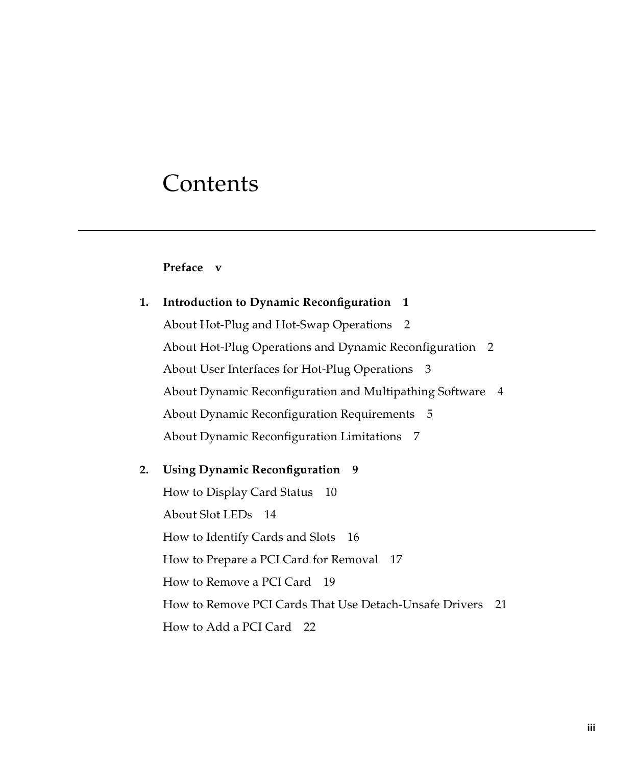## **Contents**

#### **[Preface](#page-4-0) v**

| 1. | <b>Introduction to Dynamic Reconfiguration</b> 1                        |
|----|-------------------------------------------------------------------------|
|    | About Hot-Plug and Hot-Swap Operations 2                                |
|    | About Hot-Plug Operations and Dynamic Reconfiguration<br>$\overline{2}$ |
|    | About User Interfaces for Hot-Plug Operations 3                         |
|    | About Dynamic Reconfiguration and Multipathing Software<br>4            |
|    | About Dynamic Reconfiguration Requirements 5                            |
|    | About Dynamic Reconfiguration Limitations 7                             |
|    |                                                                         |
| 2. | Using Dynamic Reconfiguration 9                                         |
|    | How to Display Card Status 10                                           |
|    | About Slot LEDs 14                                                      |
|    | How to Identify Cards and Slots 16                                      |
|    | How to Prepare a PCI Card for Removal 17                                |
|    | How to Remove a PCI Card 19                                             |
|    | How to Remove PCI Cards That Use Detach-Unsafe Drivers<br>21            |
|    | How to Add a PCI Card 22                                                |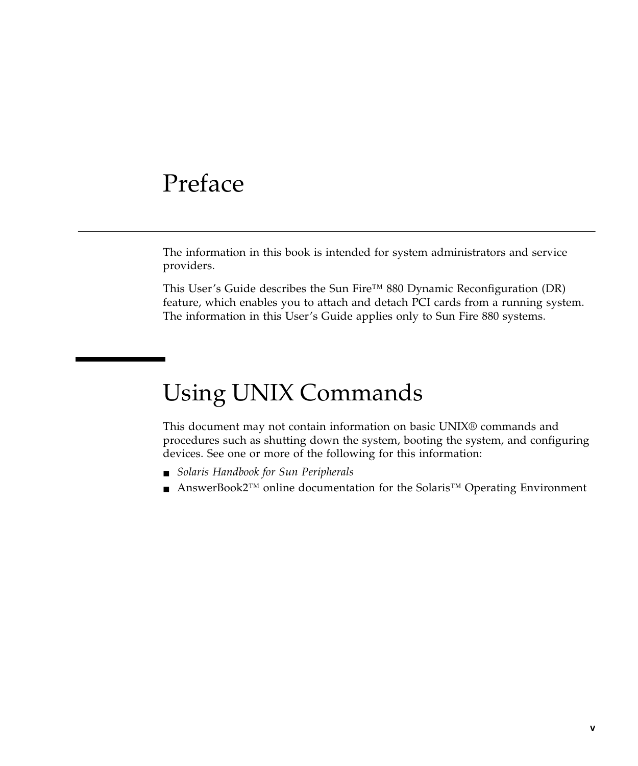### <span id="page-4-0"></span>Preface

The information in this book is intended for system administrators and service providers.

This User's Guide describes the Sun Fire™ 880 Dynamic Reconfiguration (DR) feature, which enables you to attach and detach PCI cards from a running system. The information in this User's Guide applies only to Sun Fire 880 systems.

## Using UNIX Commands

This document may not contain information on basic UNIX® commands and procedures such as shutting down the system, booting the system, and configuring devices. See one or more of the following for this information:

- *Solaris Handbook for Sun Peripherals*
- AnswerBook2<sup>™</sup> online documentation for the Solaris<sup>™</sup> Operating Environment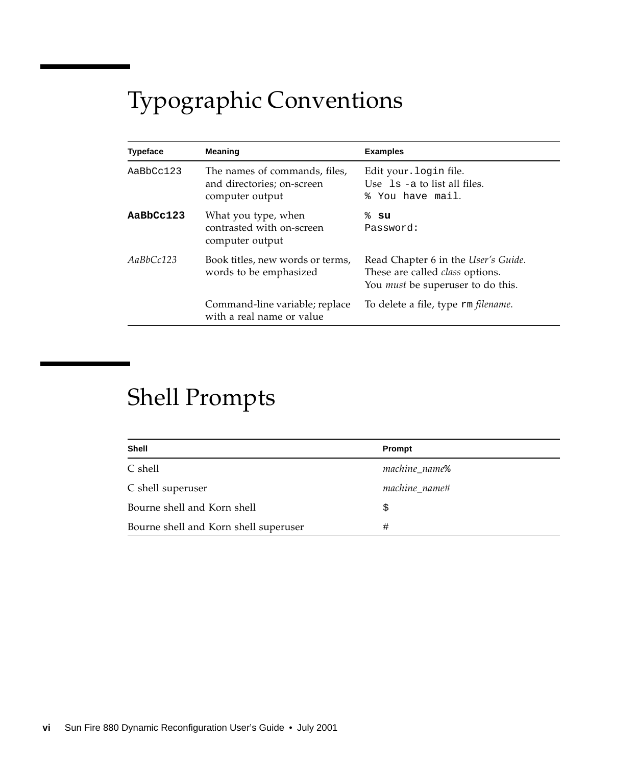# Typographic Conventions

| <b>Typeface</b>                                                         | Meaning                                                                        | <b>Examples</b>                                                                                                           |
|-------------------------------------------------------------------------|--------------------------------------------------------------------------------|---------------------------------------------------------------------------------------------------------------------------|
| AaBbCc123                                                               | The names of commands, files,<br>and directories; on-screen<br>computer output | Edit your. login file.<br>Use $\exists s$ -a to list all files.<br>% You have mail.                                       |
| AaBbCc123                                                               | What you type, when<br>contrasted with on-screen<br>computer output            | ៖ su<br>Password:                                                                                                         |
| AaBbCc123<br>Book titles, new words or terms,<br>words to be emphasized |                                                                                | Read Chapter 6 in the User's Guide.<br>These are called <i>class</i> options.<br>You <i>must</i> be superuser to do this. |
|                                                                         | Command-line variable; replace<br>with a real name or value                    | To delete a file, type rm <i>filename</i> .                                                                               |

## Shell Prompts

| Shell                                 | Prompt                    |
|---------------------------------------|---------------------------|
| C shell                               | machine name <sup>§</sup> |
| C shell superuser                     | machine name#             |
| Bourne shell and Korn shell           | Ŝ                         |
| Bourne shell and Korn shell superuser | #                         |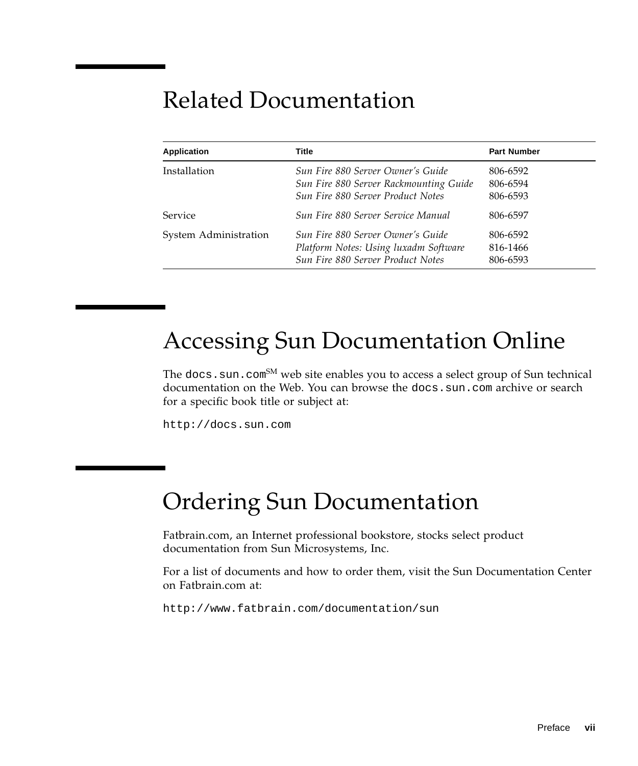## Related Documentation

| <b>Application</b>    | Title                                                                                                                   | <b>Part Number</b>               |
|-----------------------|-------------------------------------------------------------------------------------------------------------------------|----------------------------------|
| Installation          | Sun Fire 880 Server Owner's Guide<br>Sun Fire 880 Server Rackmounting Guide<br><b>Sun Fire 880 Server Product Notes</b> | 806-6592<br>806-6594<br>806-6593 |
| <b>Service</b>        | Sun Fire 880 Server Service Manual                                                                                      | 806-6597                         |
| System Administration | Sun Fire 880 Server Owner's Guide<br>Platform Notes: Using luxadm Software<br><b>Sun Fire 880 Server Product Notes</b>  | 806-6592<br>816-1466<br>806-6593 |

## Accessing Sun Documentation Online

The docs. sun. com<sup>SM</sup> web site enables you to access a select group of Sun technical documentation on the Web. You can browse the docs.sun.com archive or search for a specific book title or subject at:

http://docs.sun.com

## Ordering Sun Documentation

Fatbrain.com, an Internet professional bookstore, stocks select product documentation from Sun Microsystems, Inc.

For a list of documents and how to order them, visit the Sun Documentation Center on Fatbrain.com at:

http://www.fatbrain.com/documentation/sun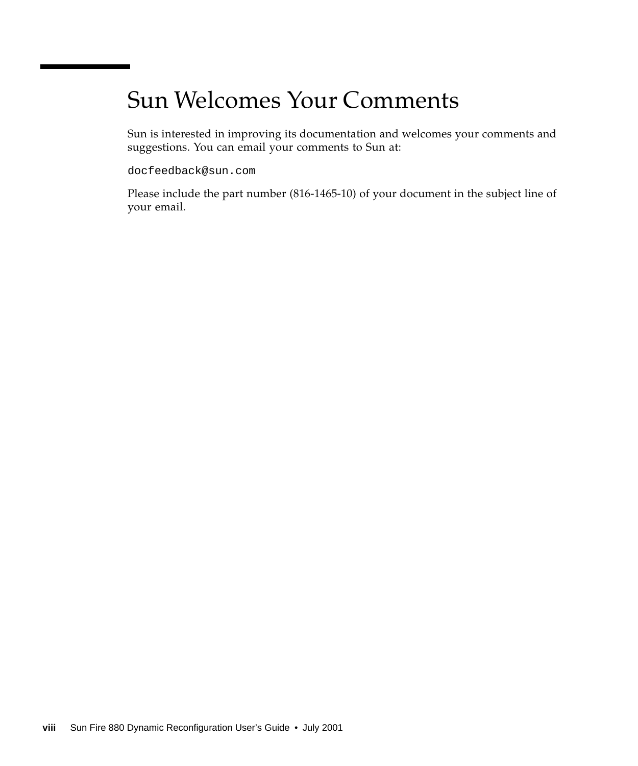## Sun Welcomes Your Comments

Sun is interested in improving its documentation and welcomes your comments and suggestions. You can email your comments to Sun at:

docfeedback@sun.com

Please include the part number (816-1465-10) of your document in the subject line of your email.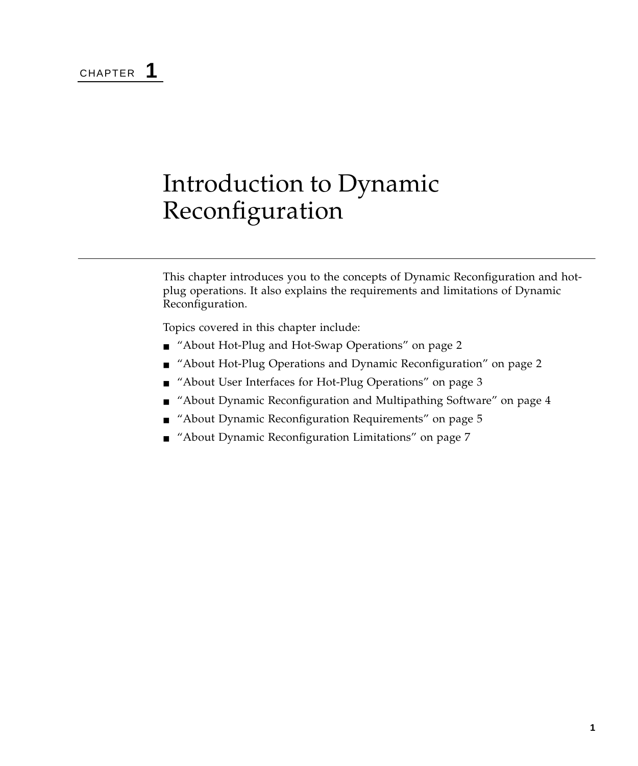CHAPTER **1**

## <span id="page-8-0"></span>Introduction to Dynamic Reconfiguration

This chapter introduces you to the concepts of Dynamic Reconfiguration and hotplug operations. It also explains the requirements and limitations of Dynamic Reconfiguration.

Topics covered in this chapter include:

- ["About Hot-Plug and Hot-Swap Operations" on page 2](#page-9-0)
- ["About Hot-Plug Operations and Dynamic Reconfiguration" on page 2](#page-9-1)
- ["About User Interfaces for Hot-Plug Operations" on page 3](#page-10-0)
- ["About Dynamic Reconfiguration and Multipathing Software" on page 4](#page-11-0)
- ["About Dynamic Reconfiguration Requirements" on page 5](#page-12-0)
- ["About Dynamic Reconfiguration Limitations" on page 7](#page-14-0)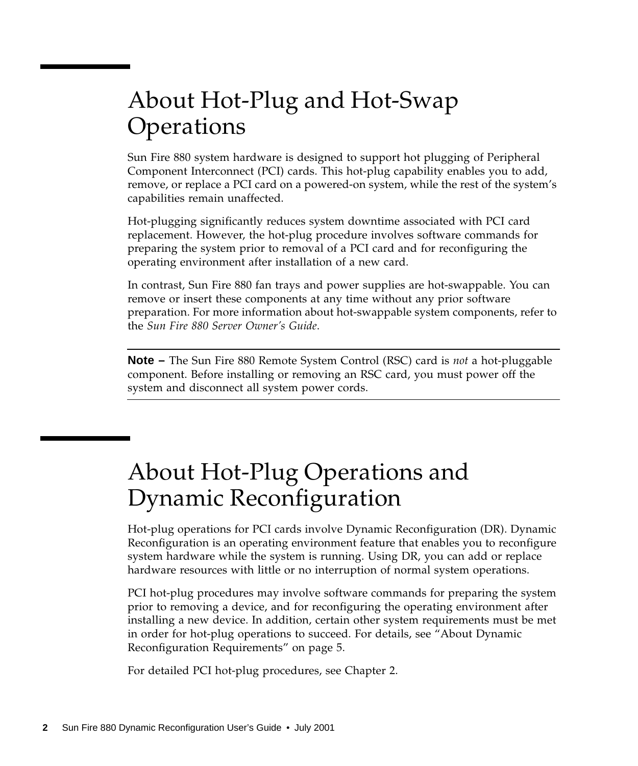## <span id="page-9-0"></span>About Hot-Plug and Hot-Swap **Operations**

Sun Fire 880 system hardware is designed to support hot plugging of Peripheral Component Interconnect (PCI) cards. This hot-plug capability enables you to add, remove, or replace a PCI card on a powered-on system, while the rest of the system's capabilities remain unaffected.

Hot-plugging significantly reduces system downtime associated with PCI card replacement. However, the hot-plug procedure involves software commands for preparing the system prior to removal of a PCI card and for reconfiguring the operating environment after installation of a new card.

In contrast, Sun Fire 880 fan trays and power supplies are hot-swappable. You can remove or insert these components at any time without any prior software preparation. For more information about hot-swappable system components, refer to the *Sun Fire 880 Server Owner's Guide*.

**Note –** The Sun Fire 880 Remote System Control (RSC) card is *not* a hot-pluggable component. Before installing or removing an RSC card, you must power off the system and disconnect all system power cords.

## <span id="page-9-1"></span>About Hot-Plug Operations and Dynamic Reconfiguration

Hot-plug operations for PCI cards involve Dynamic Reconfiguration (DR). Dynamic Reconfiguration is an operating environment feature that enables you to reconfigure system hardware while the system is running. Using DR, you can add or replace hardware resources with little or no interruption of normal system operations.

PCI hot-plug procedures may involve software commands for preparing the system prior to removing a device, and for reconfiguring the operating environment after installing a new device. In addition, certain other system requirements must be met in order for hot-plug operations to succeed. For details, see ["About Dynamic](#page-12-0) [Reconfiguration Requirements" on page 5.](#page-12-0)

For detailed PCI hot-plug procedures, see [Chapter 2.](#page-16-1)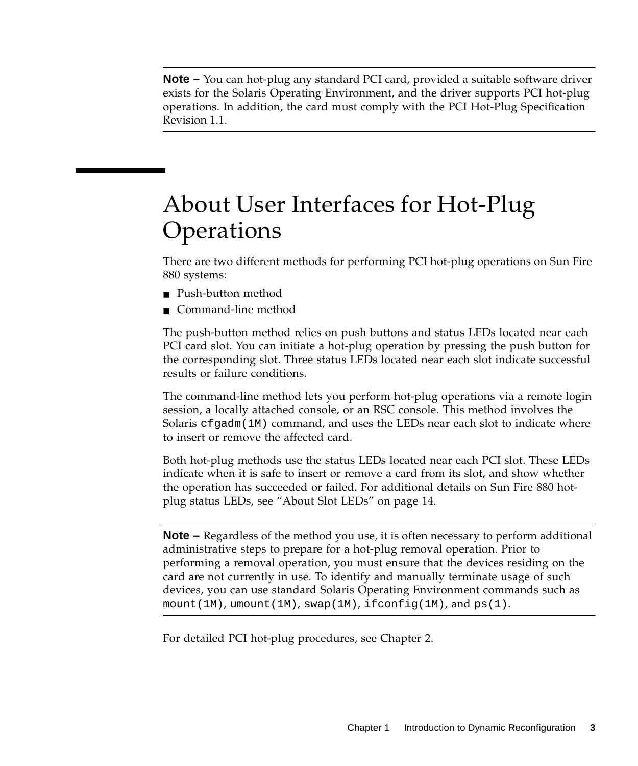**Note –** You can hot-plug any standard PCI card, provided a suitable software driver exists for the Solaris Operating Environment, and the driver supports PCI hot-plug operations. In addition, the card must comply with the PCI Hot-Plug Specification Revision 1.1.

## <span id="page-10-0"></span>About User Interfaces for Hot-Plug **Operations**

There are two different methods for performing PCI hot-plug operations on Sun Fire 880 systems:

- Push-button method
- Command-line method

The push-button method relies on push buttons and status LEDs located near each PCI card slot. You can initiate a hot-plug operation by pressing the push button for the corresponding slot. Three status LEDs located near each slot indicate successful results or failure conditions.

The command-line method lets you perform hot-plug operations via a remote login session, a locally attached console, or an RSC console. This method involves the Solaris  $cf$   $q$ adm $(1M)$  command, and uses the LEDs near each slot to indicate where to insert or remove the affected card.

Both hot-plug methods use the status LEDs located near each PCI slot. These LEDs indicate when it is safe to insert or remove a card from its slot, and show whether the operation has succeeded or failed. For additional details on Sun Fire 880 hotplug status LEDs, see ["About Slot LEDs" on page 14.](#page-21-1)

**Note –** Regardless of the method you use, it is often necessary to perform additional administrative steps to prepare for a hot-plug removal operation. Prior to performing a removal operation, you must ensure that the devices residing on the card are not currently in use. To identify and manually terminate usage of such devices, you can use standard Solaris Operating Environment commands such as  $mount(1M)$ ,  $umount(1M)$ ,  $swap(1M)$ ,  $ifconfiq(1M)$ , and  $ps(1)$ .

For detailed PCI hot-plug procedures, see [Chapter 2.](#page-16-1)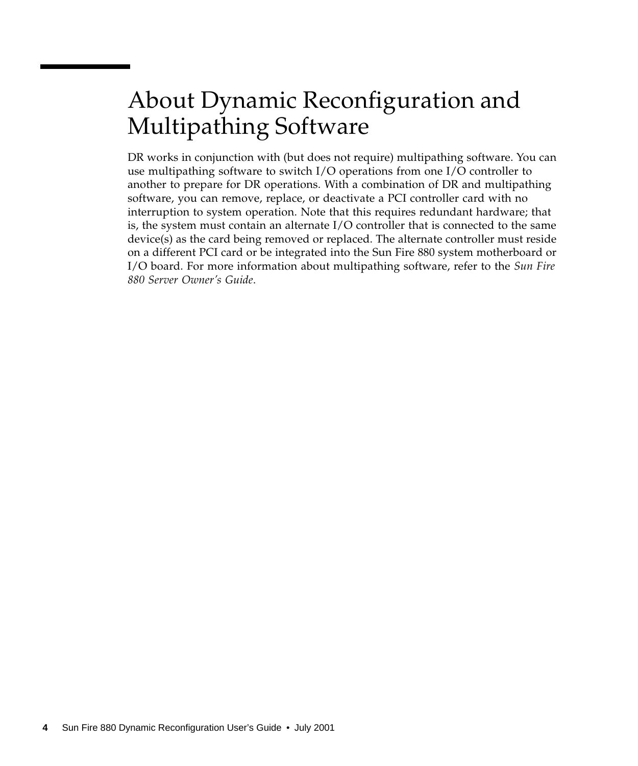## <span id="page-11-0"></span>About Dynamic Reconfiguration and Multipathing Software

DR works in conjunction with (but does not require) multipathing software. You can use multipathing software to switch I/O operations from one I/O controller to another to prepare for DR operations. With a combination of DR and multipathing software, you can remove, replace, or deactivate a PCI controller card with no interruption to system operation. Note that this requires redundant hardware; that is, the system must contain an alternate I/O controller that is connected to the same device(s) as the card being removed or replaced. The alternate controller must reside on a different PCI card or be integrated into the Sun Fire 880 system motherboard or I/O board. For more information about multipathing software, refer to the *Sun Fire 880 Server Owner's Guide*.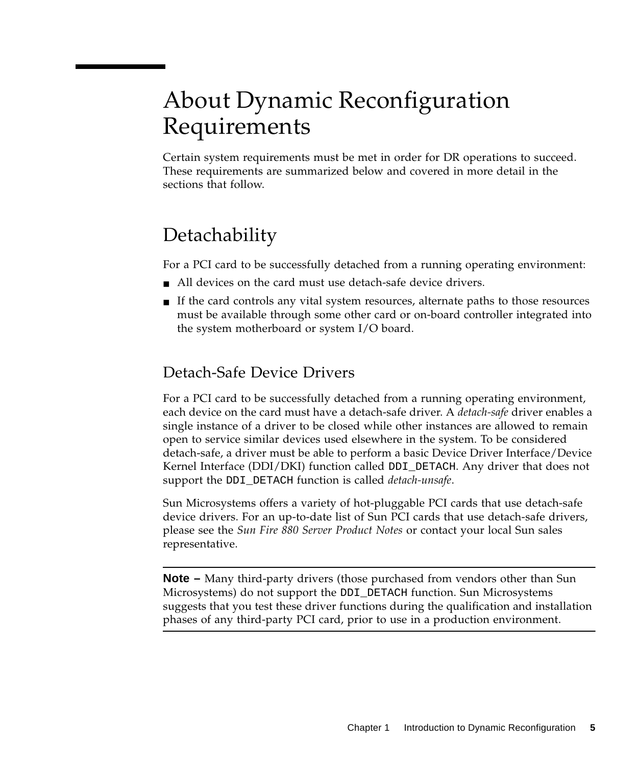## <span id="page-12-1"></span><span id="page-12-0"></span>About Dynamic Reconfiguration Requirements

Certain system requirements must be met in order for DR operations to succeed. These requirements are summarized below and covered in more detail in the sections that follow.

### **Detachability**

For a PCI card to be successfully detached from a running operating environment:

- All devices on the card must use detach-safe device drivers.
- If the card controls any vital system resources, alternate paths to those resources must be available through some other card or on-board controller integrated into the system motherboard or system I/O board.

#### Detach-Safe Device Drivers

For a PCI card to be successfully detached from a running operating environment, each device on the card must have a detach-safe driver. A *detach-safe* driver enables a single instance of a driver to be closed while other instances are allowed to remain open to service similar devices used elsewhere in the system. To be considered detach-safe, a driver must be able to perform a basic Device Driver Interface/Device Kernel Interface (DDI/DKI) function called DDI\_DETACH. Any driver that does not support the DDI\_DETACH function is called *detach-unsafe*.

Sun Microsystems offers a variety of hot-pluggable PCI cards that use detach-safe device drivers. For an up-to-date list of Sun PCI cards that use detach-safe drivers, please see the *Sun Fire 880 Server Product Notes* or contact your local Sun sales representative.

**Note –** Many third-party drivers (those purchased from vendors other than Sun Microsystems) do not support the DDI\_DETACH function. Sun Microsystems suggests that you test these driver functions during the qualification and installation phases of any third-party PCI card, prior to use in a production environment.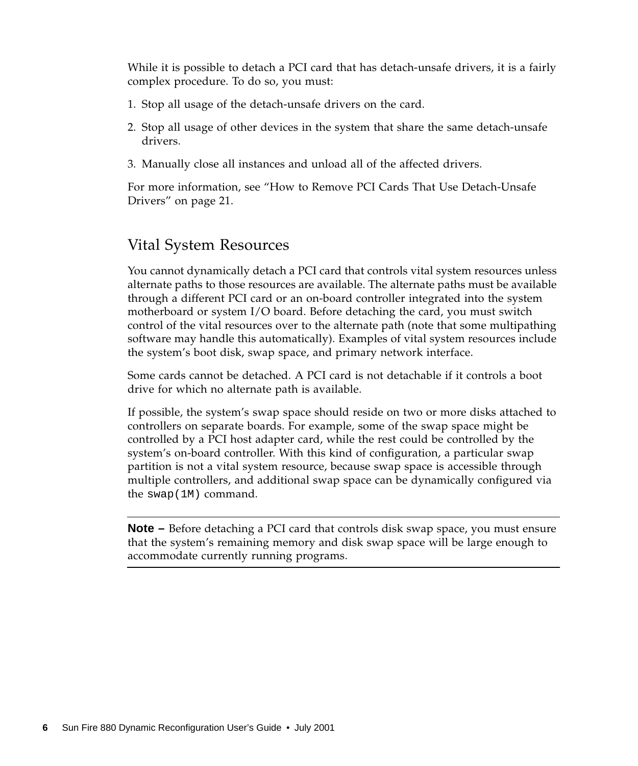While it is possible to detach a PCI card that has detach-unsafe drivers, it is a fairly complex procedure. To do so, you must:

- 1. Stop all usage of the detach-unsafe drivers on the card.
- 2. Stop all usage of other devices in the system that share the same detach-unsafe drivers.
- 3. Manually close all instances and unload all of the affected drivers.

For more information, see ["How to Remove PCI Cards That Use Detach-Unsafe](#page-28-1) [Drivers" on page 21](#page-28-1).

#### Vital System Resources

You cannot dynamically detach a PCI card that controls vital system resources unless alternate paths to those resources are available. The alternate paths must be available through a different PCI card or an on-board controller integrated into the system motherboard or system I/O board. Before detaching the card, you must switch control of the vital resources over to the alternate path (note that some multipathing software may handle this automatically). Examples of vital system resources include the system's boot disk, swap space, and primary network interface.

Some cards cannot be detached. A PCI card is not detachable if it controls a boot drive for which no alternate path is available.

If possible, the system's swap space should reside on two or more disks attached to controllers on separate boards. For example, some of the swap space might be controlled by a PCI host adapter card, while the rest could be controlled by the system's on-board controller. With this kind of configuration, a particular swap partition is not a vital system resource, because swap space is accessible through multiple controllers, and additional swap space can be dynamically configured via the swap(1M) command.

**Note –** Before detaching a PCI card that controls disk swap space, you must ensure that the system's remaining memory and disk swap space will be large enough to accommodate currently running programs.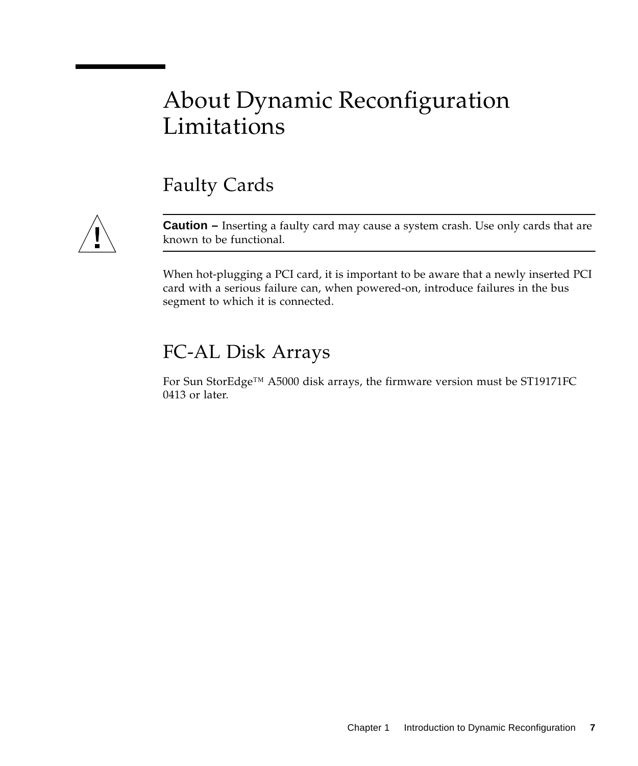### <span id="page-14-0"></span>About Dynamic Reconfiguration **Limitations**

### Faulty Cards



**Caution –** Inserting a faulty card may cause a system crash. Use only cards that are known to be functional.

When hot-plugging a PCI card, it is important to be aware that a newly inserted PCI card with a serious failure can, when powered-on, introduce failures in the bus segment to which it is connected.

### FC-AL Disk Arrays

For Sun StorEdge™ A5000 disk arrays, the firmware version must be ST19171FC 0413 or later.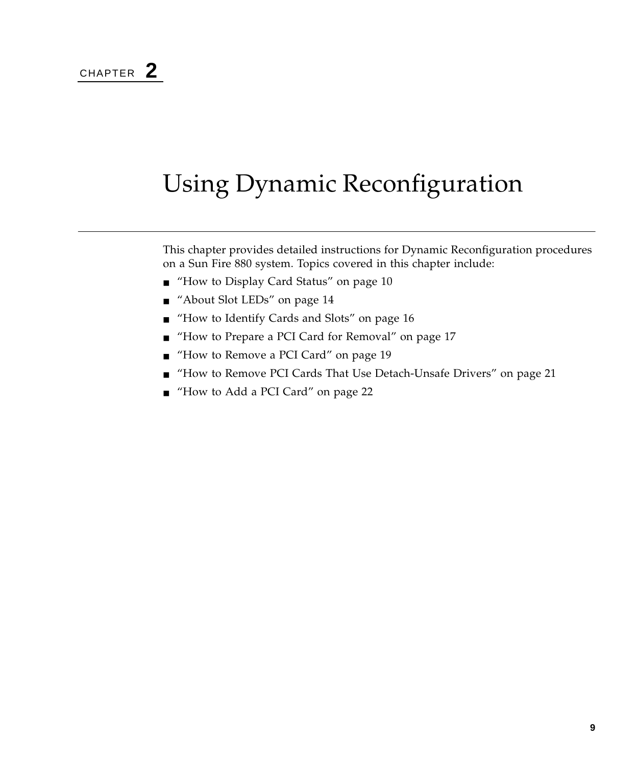## <span id="page-16-1"></span><span id="page-16-0"></span>Using Dynamic Reconfiguration

This chapter provides detailed instructions for Dynamic Reconfiguration procedures on a Sun Fire 880 system. Topics covered in this chapter include:

- ["How to Display Card Status" on page 10](#page-17-0)
- ["About Slot LEDs" on page 14](#page-21-0)
- ["How to Identify Cards and Slots" on page 16](#page-23-0)
- ["How to Prepare a PCI Card for Removal" on page 17](#page-24-0)
- ["How to Remove a PCI Card" on page 19](#page-26-0)
- ["How to Remove PCI Cards That Use Detach-Unsafe Drivers" on page 21](#page-28-0)
- ["How to Add a PCI Card" on page 22](#page-29-0)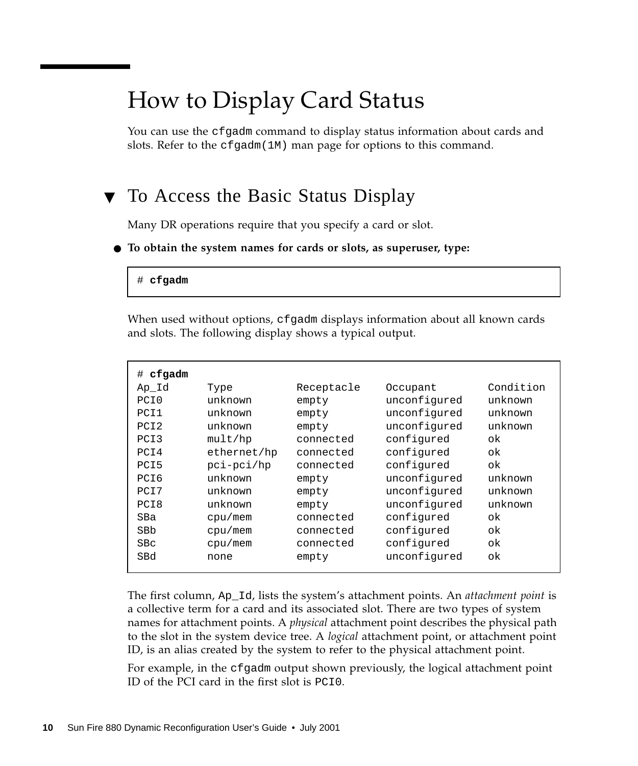## <span id="page-17-0"></span>How to Display Card Status

You can use the cfgadm command to display status information about cards and slots. Refer to the  $cf$  gadm(1M) man page for options to this command.

### ▼ To Access the Basic Status Display

Many DR operations require that you specify a card or slot.

#### ● **To obtain the system names for cards or slots, as superuser, type:**

#### # **cfgadm**

When used without options, cfgadm displays information about all known cards and slots. The following display shows a typical output.

| cfgadm<br>#      |             |            |              |           |
|------------------|-------------|------------|--------------|-----------|
| Ap Id            | Type        | Receptacle | Occupant     | Condition |
| PCI0             | unknown     | empty      | unconfigured | unknown   |
| PCI1             | unknown     | empty      | unconfigured | unknown   |
| PCI <sub>2</sub> | unknown     | empty      | unconfigured | unknown   |
| PCI3             | mult/hp     | connected  | configured   | ok        |
| PCI4             | ethernet/hp | connected  | configured   | ok        |
| PCI5             | pci-pci/hp  | connected  | configured   | ok        |
| PCI6             | unknown     | empty      | unconfigured | unknown   |
| PCI7             | unknown     | empty      | unconfigured | unknown   |
| PCI8             | unknown     | empty      | unconfigured | unknown   |
| SBa              | cpu/mem     | connected  | configured   | ok        |
| SBb              | cpu/mem     | connected  | configured   | ok        |
| <b>SBc</b>       | cpu/mem     | connected  | configured   | ok        |
| SBd              | none        | empty      | unconfigured | ok        |
|                  |             |            |              |           |

The first column, Ap\_Id, lists the system's attachment points. An *attachment point* is a collective term for a card and its associated slot. There are two types of system names for attachment points. A *physical* attachment point describes the physical path to the slot in the system device tree. A *logical* attachment point, or attachment point ID, is an alias created by the system to refer to the physical attachment point.

For example, in the cfgadm output shown previously, the logical attachment point ID of the PCI card in the first slot is PCI0.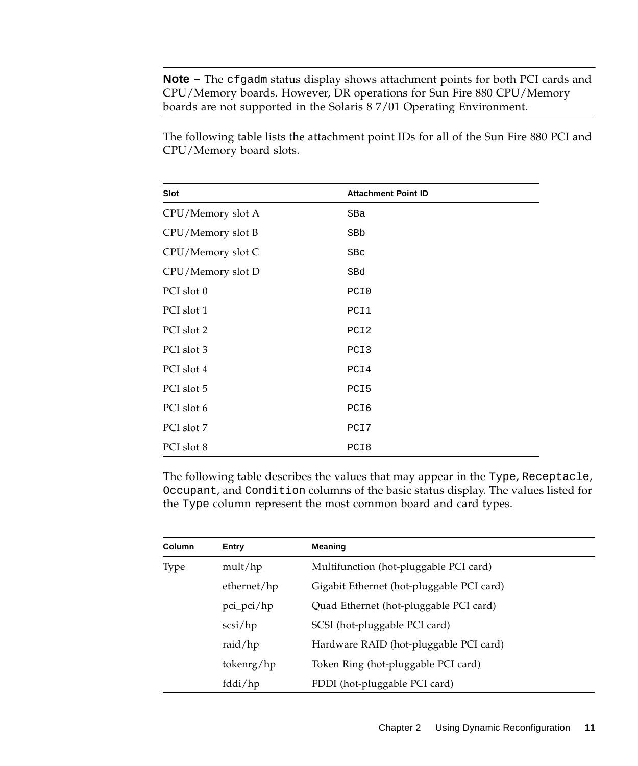**Note –** The cfgadm status display shows attachment points for both PCI cards and CPU/Memory boards. However, DR operations for Sun Fire 880 CPU/Memory boards are not supported in the Solaris 8 7/01 Operating Environment.

The following table lists the attachment point IDs for all of the Sun Fire 880 PCI and CPU/Memory board slots.

| Slot              | <b>Attachment Point ID</b> |
|-------------------|----------------------------|
| CPU/Memory slot A | SBa                        |
| CPU/Memory slot B | SBb                        |
| CPU/Memory slot C | SBc                        |
| CPU/Memory slot D | SBd                        |
| PCI slot 0        | PCI0                       |
| PCI slot 1        | PCI1                       |
| PCI slot 2        | PCI <sub>2</sub>           |
| PCI slot 3        | PCI3                       |
| PCI slot 4        | PCI4                       |
| PCI slot 5        | PCI5                       |
| PCI slot 6        | PCI6                       |
| PCI slot 7        | PCI7                       |
| PCI slot 8        | PCI8                       |

The following table describes the values that may appear in the Type, Receptacle, Occupant, and Condition columns of the basic status display. The values listed for the Type column represent the most common board and card types.

| Column | Entry        | <b>Meaning</b>                            |
|--------|--------------|-------------------------------------------|
| Type   | mult/hp      | Multifunction (hot-pluggable PCI card)    |
|        | ethernet/hp  | Gigabit Ethernet (hot-pluggable PCI card) |
|        | $pci_pci/hp$ | Quad Ethernet (hot-pluggable PCI card)    |
|        | scsi/hp      | SCSI (hot-pluggable PCI card)             |
|        | raid/ $hp$   | Hardware RAID (hot-pluggable PCI card)    |
|        | tokenrg/hp   | Token Ring (hot-pluggable PCI card)       |
|        | fddi/hp      | FDDI (hot-pluggable PCI card)             |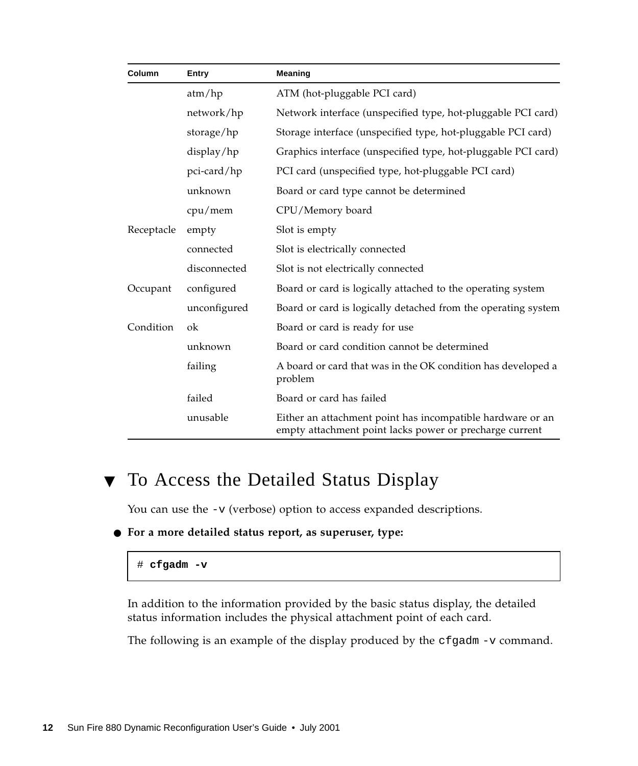| Column     | Entry        | <b>Meaning</b>                                                                                                        |
|------------|--------------|-----------------------------------------------------------------------------------------------------------------------|
|            | atm/hp       | ATM (hot-pluggable PCI card)                                                                                          |
|            | network/hp   | Network interface (unspecified type, hot-pluggable PCI card)                                                          |
|            | storage/hp   | Storage interface (unspecified type, hot-pluggable PCI card)                                                          |
|            | display/hp   | Graphics interface (unspecified type, hot-pluggable PCI card)                                                         |
|            | pci-card/hp  | PCI card (unspecified type, hot-pluggable PCI card)                                                                   |
|            | unknown      | Board or card type cannot be determined                                                                               |
|            | cpu/mem      | CPU/Memory board                                                                                                      |
| Receptacle | empty        | Slot is empty                                                                                                         |
|            | connected    | Slot is electrically connected                                                                                        |
|            | disconnected | Slot is not electrically connected                                                                                    |
| Occupant   | configured   | Board or card is logically attached to the operating system                                                           |
|            | unconfigured | Board or card is logically detached from the operating system                                                         |
| Condition  | ok           | Board or card is ready for use                                                                                        |
|            | unknown      | Board or card condition cannot be determined                                                                          |
|            | failing      | A board or card that was in the OK condition has developed a<br>problem                                               |
|            | failed       | Board or card has failed                                                                                              |
|            | unusable     | Either an attachment point has incompatible hardware or an<br>empty attachment point lacks power or precharge current |

#### ▼ To Access the Detailed Status Display

You can use the  $-v$  (verbose) option to access expanded descriptions.

● **For a more detailed status report, as superuser, type:**

#### # **cfgadm -v**

In addition to the information provided by the basic status display, the detailed status information includes the physical attachment point of each card.

The following is an example of the display produced by the cfgadm -v command.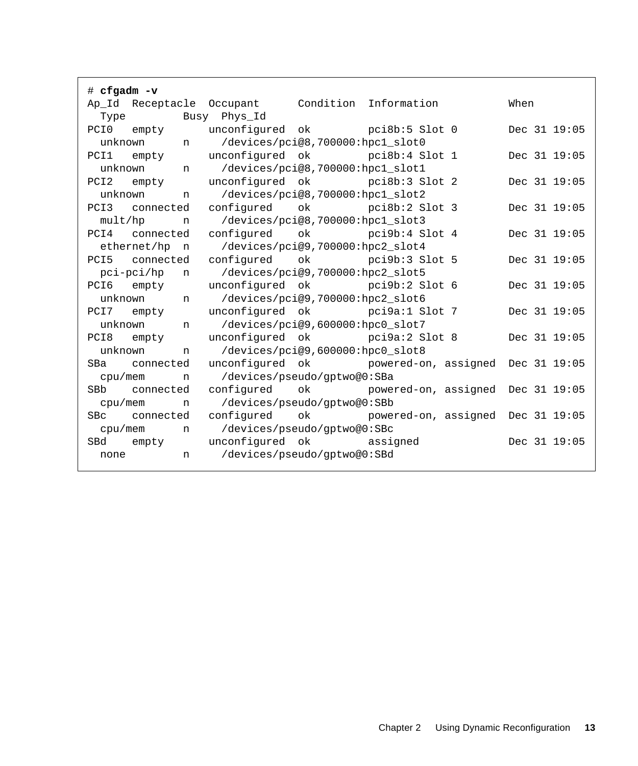| $\#$ cfgadm $-v$                                                      |              |  |  |
|-----------------------------------------------------------------------|--------------|--|--|
| Ap_Id Receptacle Occupant Condition Information                       | When         |  |  |
| Type Busy Phys_Id                                                     |              |  |  |
| unconfigured ok pci8b:5 Slot 0<br>PCI0<br>empty                       | Dec 31 19:05 |  |  |
| /devices/pci@8,700000:hpc1_slot0<br>unknown n                         |              |  |  |
| unconfigured ok pci8b:4 Slot 1<br>PCI1 empty                          | Dec 31 19:05 |  |  |
| /devices/pci@8,700000:hpc1_slot1<br>unknown n                         |              |  |  |
| unconfigured ok pci8b:3 Slot 2<br>PCI <sub>2</sub><br>empty           | Dec 31 19:05 |  |  |
| /devices/pci@8,700000:hpc1_slot2<br>unknown<br>n                      |              |  |  |
| configured ok pci8b:2 Slot 3<br>PCI3 connected                        | Dec 31 19:05 |  |  |
| n /devices/pci@8,700000:hpcl_slot3<br>mult/hp                         |              |  |  |
| PCI4 connected configured ok pci9b:4 Slot 4                           | Dec 31 19:05 |  |  |
| ethernet/hp n /devices/pci@9,700000:hpc2_slot4                        |              |  |  |
| configured ok pci9b:3 Slot 5<br>PCI5 connected                        | Dec 31 19:05 |  |  |
| n /devices/pci@9,700000:hpc2_slot5<br>pci-pci/hp                      |              |  |  |
| unconfigured ok pci9b:2 Slot 6<br>PCI6 empty                          | Dec 31 19:05 |  |  |
| /devices/pci@9,700000:hpc2_slot6<br>unknown n                         |              |  |  |
| unconfigured ok pci9a:1 Slot 7<br>PCI7 empty                          | Dec 31 19:05 |  |  |
| /devices/pci@9,600000:hpc0_slot7<br>unknown<br>n                      |              |  |  |
| unconfigured ok pci9a:2 Slot 8<br>PCI8 empty                          | Dec 31 19:05 |  |  |
| /devices/pci@9,600000:hpc0_slot8<br>unknown<br>n                      |              |  |  |
| unconfigured ok powered-on, assigned Dec 31 19:05<br>SBa<br>connected |              |  |  |
| n /devices/pseudo/gptwo@0:SBa<br>cpu/mem                              |              |  |  |
| configured ok powered-on, assigned Dec 31 19:05<br>SBb connected      |              |  |  |
| /devices/pseudo/qptwo@0:SBb<br>cpu/mem<br>n                           |              |  |  |
| configured ok powered-on, assigned Dec 31 19:05<br>SBc connected      |              |  |  |
| /devices/pseudo/gptwo@0:SBc<br>cpu/mem<br>n                           |              |  |  |
| unconfigured ok assigned<br>SBd<br>empty                              | Dec 31 19:05 |  |  |
| /devices/pseudo/qptwo@0:SBd<br>none<br>n                              |              |  |  |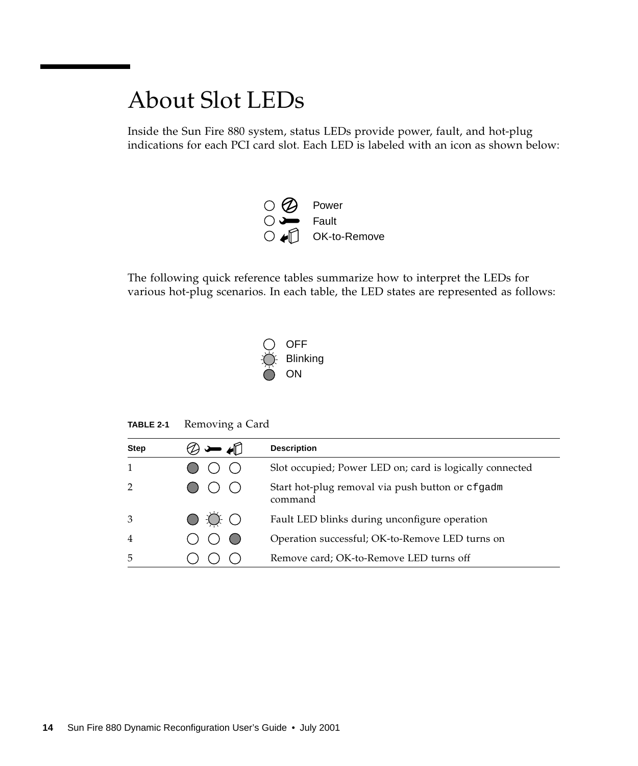### <span id="page-21-1"></span><span id="page-21-0"></span>About Slot LEDs

Inside the Sun Fire 880 system, status LEDs provide power, fault, and hot-plug indications for each PCI card slot. Each LED is labeled with an icon as shown below:



The following quick reference tables summarize how to interpret the LEDs for various hot-plug scenarios. In each table, the LED states are represented as follows:



**TABLE 2-1** Removing a Card

| <b>Step</b>    |                        | <b>Description</b>                                          |
|----------------|------------------------|-------------------------------------------------------------|
|                |                        | Slot occupied; Power LED on; card is logically connected    |
|                |                        | Start hot-plug removal via push button or cfgadm<br>command |
| 3              | $O \nleftrightarrow O$ | Fault LED blinks during unconfigure operation               |
| $\overline{4}$ |                        | Operation successful; OK-to-Remove LED turns on             |
| 5              |                        | Remove card; OK-to-Remove LED turns off                     |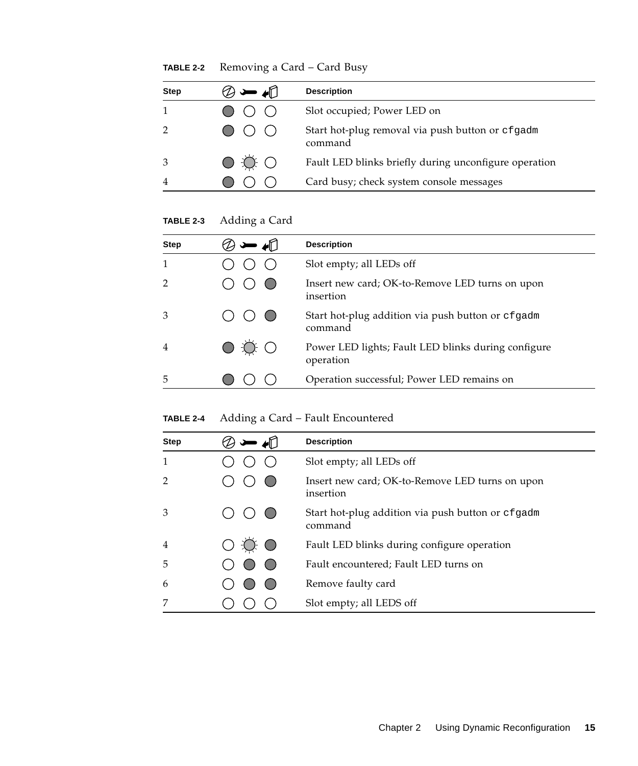**TABLE 2-2** Removing a Card – Card Busy

| <b>Step</b>    | ◢∐          | <b>Description</b>                                          |
|----------------|-------------|-------------------------------------------------------------|
|                |             | Slot occupied; Power LED on                                 |
|                |             | Start hot-plug removal via push button or cfgadm<br>command |
| 3              | $O \circ O$ | Fault LED blinks briefly during unconfigure operation       |
| $\overline{4}$ |             | Card busy; check system console messages                    |

**TABLE 2-3** Adding a Card

| <b>Step</b>    | <b>Description</b>                                               |
|----------------|------------------------------------------------------------------|
|                | Slot empty; all LEDs off                                         |
|                | Insert new card; OK-to-Remove LED turns on upon<br>insertion     |
| 3              | Start hot-plug addition via push button or cfgadm<br>command     |
| $\overline{4}$ | Power LED lights; Fault LED blinks during configure<br>operation |
| 5              | Operation successful; Power LED remains on                       |

**TABLE 2-4** Adding a Card – Fault Encountered

| <b>Step</b>    |     | <b>Description</b>                                           |
|----------------|-----|--------------------------------------------------------------|
| 1              |     | Slot empty; all LEDs off                                     |
| $\overline{2}$ |     | Insert new card; OK-to-Remove LED turns on upon<br>insertion |
| 3              |     | Start hot-plug addition via push button or cfgadm<br>command |
| $\overline{4}$ | O O | Fault LED blinks during configure operation                  |
| 5              |     | Fault encountered; Fault LED turns on                        |
| 6              |     | Remove faulty card                                           |
| 7              |     | Slot empty; all LEDS off                                     |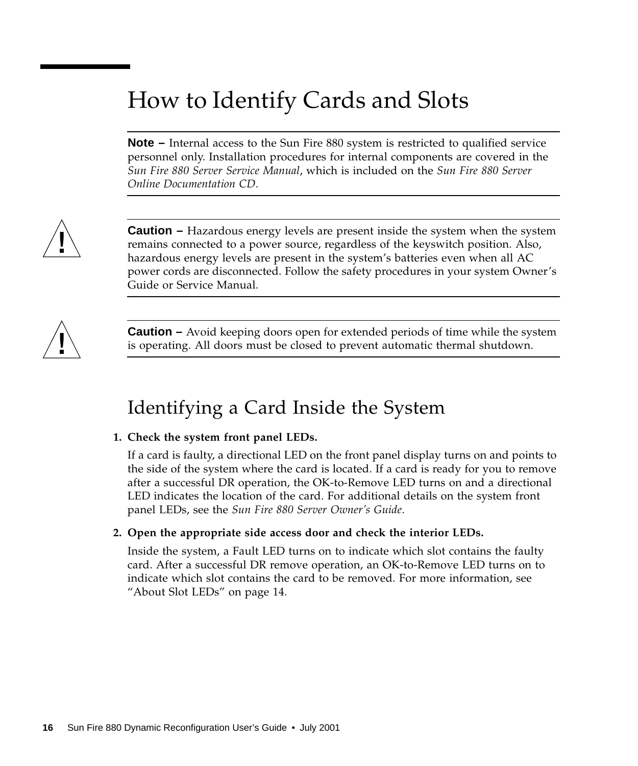## <span id="page-23-0"></span>How to Identify Cards and Slots

**Note –** Internal access to the Sun Fire 880 system is restricted to qualified service personnel only. Installation procedures for internal components are covered in the *Sun Fire 880 Server Service Manual*, which is included on the *Sun Fire 880 Server Online Documentation CD*.



**Caution** – Hazardous energy levels are present inside the system when the system remains connected to a power source, regardless of the keyswitch position. Also, hazardous energy levels are present in the system's batteries even when all AC power cords are disconnected. Follow the safety procedures in your system Owner's Guide or Service Manual.



**Caution –** Avoid keeping doors open for extended periods of time while the system is operating. All doors must be closed to prevent automatic thermal shutdown.

### Identifying a Card Inside the System

#### **1. Check the system front panel LEDs.**

If a card is faulty, a directional LED on the front panel display turns on and points to the side of the system where the card is located. If a card is ready for you to remove after a successful DR operation, the OK-to-Remove LED turns on and a directional LED indicates the location of the card. For additional details on the system front panel LEDs, see the *Sun Fire 880 Server Owner's Guide*.

#### **2. Open the appropriate side access door and check the interior LEDs.**

Inside the system, a Fault LED turns on to indicate which slot contains the faulty card. After a successful DR remove operation, an OK-to-Remove LED turns on to indicate which slot contains the card to be removed. For more information, see ["About Slot LEDs" on page 14.](#page-21-0)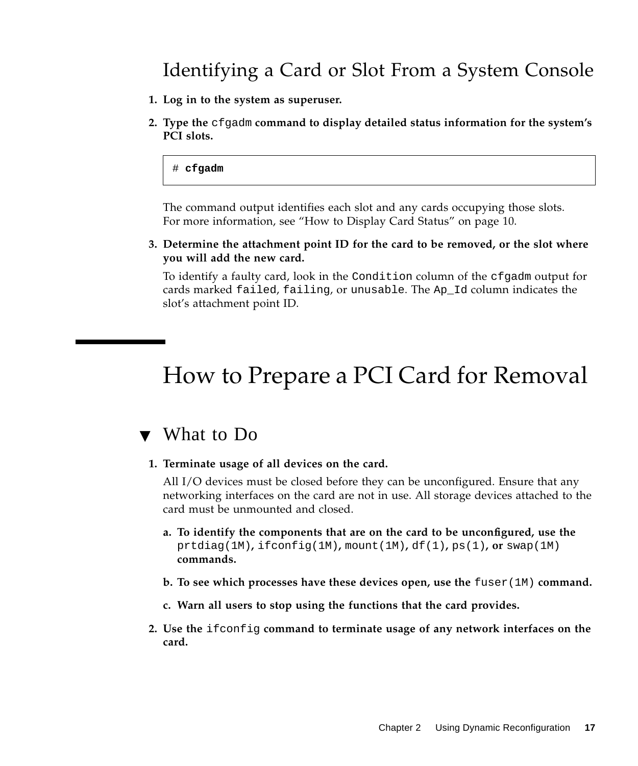### Identifying a Card or Slot From a System Console

- **1. Log in to the system as superuser.**
- **2. Type the** cfgadm **command to display detailed status information for the system's PCI slots.**

#### # **cfgadm**

The command output identifies each slot and any cards occupying those slots. For more information, see ["How to Display Card Status" on page 10](#page-17-0).

**3. Determine the attachment point ID for the card to be removed, or the slot where you will add the new card.**

To identify a faulty card, look in the Condition column of the cfgadm output for cards marked failed, failing, or unusable. The Ap\_Id column indicates the slot's attachment point ID.

### <span id="page-24-0"></span>How to Prepare a PCI Card for Removal

#### ▼ What to Do

**1. Terminate usage of all devices on the card.**

All I/O devices must be closed before they can be unconfigured. Ensure that any networking interfaces on the card are not in use. All storage devices attached to the card must be unmounted and closed.

- **a. To identify the components that are on the card to be unconfigured, use the** prtdiag(1M)**,** ifconfig(1M)**,** mount(1M)**,** df(1)**,** ps(1)**, or** swap(1M) **commands.**
- **b. To see which processes have these devices open, use the** fuser(1M) **command.**
- **c. Warn all users to stop using the functions that the card provides.**
- **2. Use the** ifconfig **command to terminate usage of any network interfaces on the card.**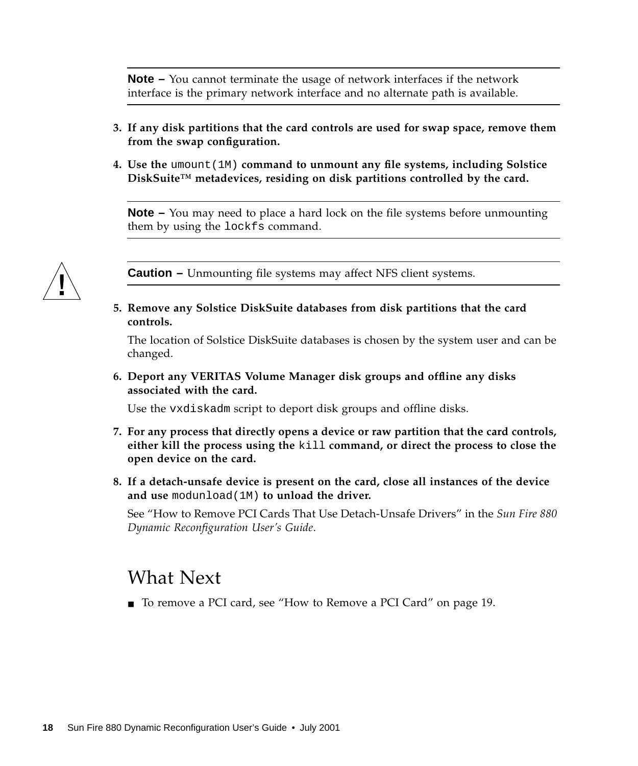**Note –** You cannot terminate the usage of network interfaces if the network interface is the primary network interface and no alternate path is available.

- **3. If any disk partitions that the card controls are used for swap space, remove them from the swap configuration.**
- **4. Use the** umount(1M) **command to unmount any file systems, including Solstice DiskSuite™ metadevices, residing on disk partitions controlled by the card.**

**Note –** You may need to place a hard lock on the file systems before unmounting them by using the lockfs command.



**Caution –** Unmounting file systems may affect NFS client systems.

**5. Remove any Solstice DiskSuite databases from disk partitions that the card controls.**

The location of Solstice DiskSuite databases is chosen by the system user and can be changed.

**6. Deport any VERITAS Volume Manager disk groups and offline any disks associated with the card.**

Use the vxdiskadm script to deport disk groups and offline disks.

- **7. For any process that directly opens a device or raw partition that the card controls, either kill the process using the** kill **command, or direct the process to close the open device on the card.**
- **8. If a detach-unsafe device is present on the card, close all instances of the device and use** modunload(1M) **to unload the driver.**

See "How to Remove PCI Cards That Use Detach-Unsafe Drivers" in the *Sun Fire 880 Dynamic Reconfiguration User's Guide*.

#### What Next

■ To remove a PCI card, see ["How to Remove a PCI Card" on page 19](#page-26-0).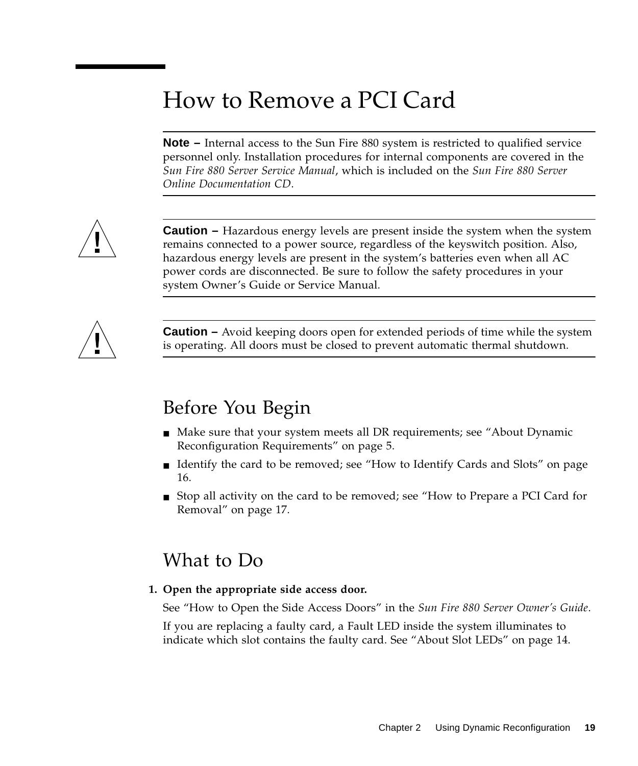## <span id="page-26-0"></span>How to Remove a PCI Card

**Note –** Internal access to the Sun Fire 880 system is restricted to qualified service personnel only. Installation procedures for internal components are covered in the *Sun Fire 880 Server Service Manual*, which is included on the *Sun Fire 880 Server Online Documentation CD*.



**Caution –** Hazardous energy levels are present inside the system when the system remains connected to a power source, regardless of the keyswitch position. Also, hazardous energy levels are present in the system's batteries even when all AC power cords are disconnected. Be sure to follow the safety procedures in your system Owner's Guide or Service Manual.



**Caution –** Avoid keeping doors open for extended periods of time while the system is operating. All doors must be closed to prevent automatic thermal shutdown.

### Before You Begin

- Make sure that your system meets all DR requirements; see ["About Dynamic](#page-12-1) [Reconfiguration Requirements" on page 5.](#page-12-1)
- Identify the card to be removed; see ["How to Identify Cards and Slots" on page](#page-23-0) [16.](#page-23-0)
- Stop all activity on the card to be removed; see ["How to Prepare a PCI Card for](#page-24-0) [Removal" on page 17.](#page-24-0)

#### What to Do

**1. Open the appropriate side access door.**

See "How to Open the Side Access Doors" in the *Sun Fire 880 Server Owner's Guide*. If you are replacing a faulty card, a Fault LED inside the system illuminates to indicate which slot contains the faulty card. See ["About Slot LEDs" on page 14.](#page-21-0)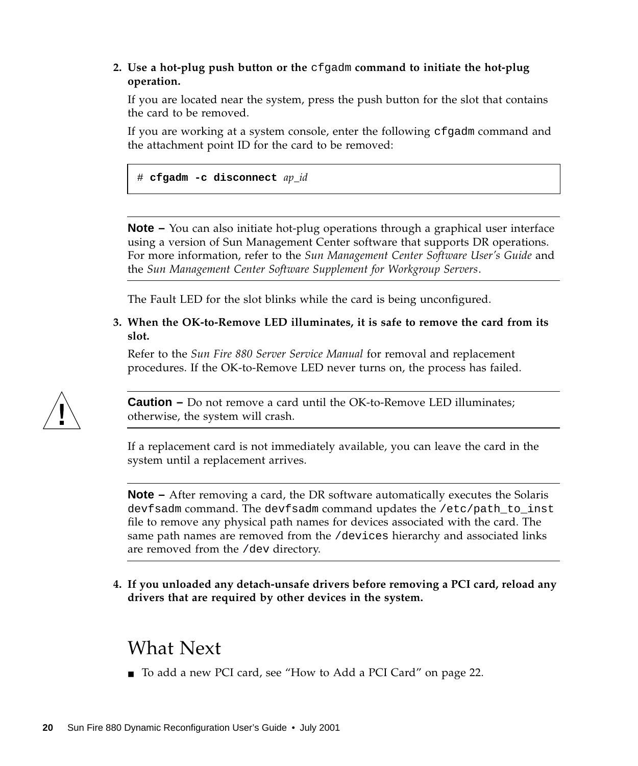#### **2. Use a hot-plug push button or the** cfgadm **command to initiate the hot-plug operation.**

If you are located near the system, press the push button for the slot that contains the card to be removed.

If you are working at a system console, enter the following cfgadm command and the attachment point ID for the card to be removed:

# **cfgadm -c disconnect** *ap\_id*

**Note –** You can also initiate hot-plug operations through a graphical user interface using a version of Sun Management Center software that supports DR operations. For more information, refer to the *Sun Management Center Software User's Guide* and the *Sun Management Center Software Supplement for Workgroup Servers*.

The Fault LED for the slot blinks while the card is being unconfigured.

#### **3. When the OK-to-Remove LED illuminates, it is safe to remove the card from its slot.**

Refer to the *Sun Fire 880 Server Service Manual* for removal and replacement procedures. If the OK-to-Remove LED never turns on, the process has failed.



**Caution –** Do not remove a card until the OK-to-Remove LED illuminates; otherwise, the system will crash.

If a replacement card is not immediately available, you can leave the card in the system until a replacement arrives.

**Note –** After removing a card, the DR software automatically executes the Solaris devfsadm command. The devfsadm command updates the /etc/path\_to\_inst file to remove any physical path names for devices associated with the card. The same path names are removed from the /devices hierarchy and associated links are removed from the /dev directory.

**4. If you unloaded any detach-unsafe drivers before removing a PCI card, reload any drivers that are required by other devices in the system.**

#### What Next

■ To add a new PCI card, see ["How to Add a PCI Card" on page 22](#page-29-0).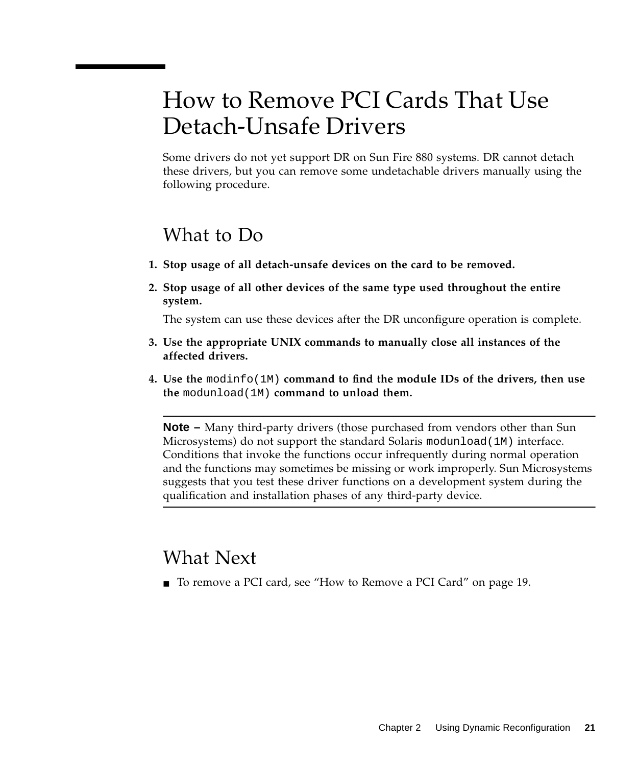## <span id="page-28-1"></span><span id="page-28-0"></span>How to Remove PCI Cards That Use Detach-Unsafe Drivers

Some drivers do not yet support DR on Sun Fire 880 systems. DR cannot detach these drivers, but you can remove some undetachable drivers manually using the following procedure.

#### What to Do

- **1. Stop usage of all detach-unsafe devices on the card to be removed.**
- **2. Stop usage of all other devices of the same type used throughout the entire system.**

The system can use these devices after the DR unconfigure operation is complete.

- **3. Use the appropriate UNIX commands to manually close all instances of the affected drivers.**
- **4. Use the** modinfo(1M) **command to find the module IDs of the drivers, then use the** modunload(1M) **command to unload them.**

**Note –** Many third-party drivers (those purchased from vendors other than Sun Microsystems) do not support the standard Solaris modunload(1M) interface. Conditions that invoke the functions occur infrequently during normal operation and the functions may sometimes be missing or work improperly. Sun Microsystems suggests that you test these driver functions on a development system during the qualification and installation phases of any third-party device.

#### What Next

■ To remove a PCI card, see ["How to Remove a PCI Card" on page 19](#page-26-0).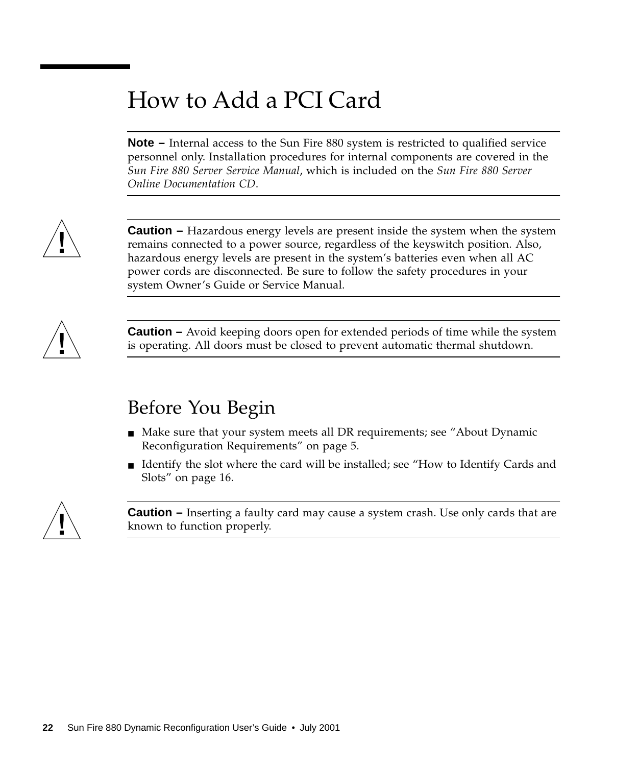## <span id="page-29-0"></span>How to Add a PCI Card

**Note –** Internal access to the Sun Fire 880 system is restricted to qualified service personnel only. Installation procedures for internal components are covered in the *Sun Fire 880 Server Service Manual*, which is included on the *Sun Fire 880 Server Online Documentation CD*.



**Caution** – Hazardous energy levels are present inside the system when the system remains connected to a power source, regardless of the keyswitch position. Also, hazardous energy levels are present in the system's batteries even when all AC power cords are disconnected. Be sure to follow the safety procedures in your system Owner's Guide or Service Manual.



**Caution –** Avoid keeping doors open for extended periods of time while the system is operating. All doors must be closed to prevent automatic thermal shutdown.

### Before You Begin

- Make sure that your system meets all DR requirements; see ["About Dynamic](#page-12-1) [Reconfiguration Requirements" on page 5.](#page-12-1)
- Identify the slot where the card will be installed; see ["How to Identify Cards and](#page-23-0) [Slots" on page 16.](#page-23-0)



**Caution –** Inserting a faulty card may cause a system crash. Use only cards that are known to function properly.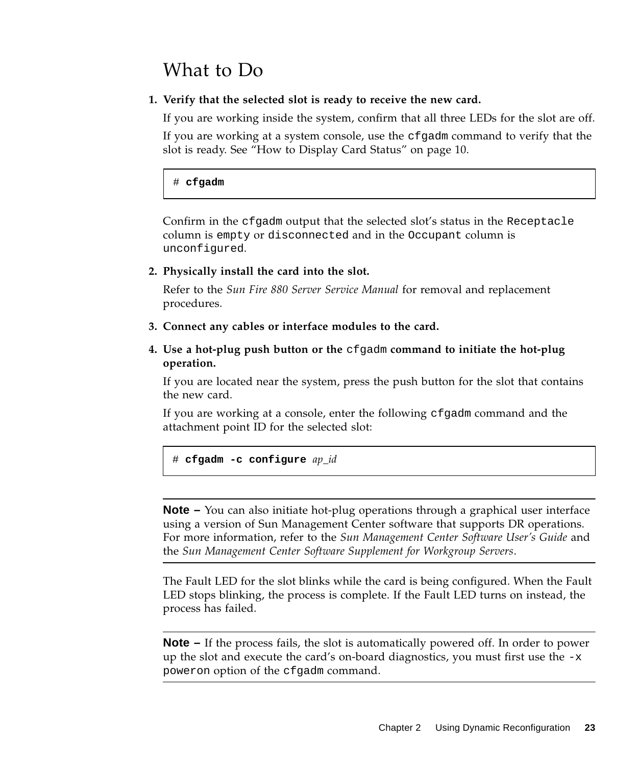### What to Do

#### **1. Verify that the selected slot is ready to receive the new card.**

If you are working inside the system, confirm that all three LEDs for the slot are off.

If you are working at a system console, use the cfgadm command to verify that the slot is ready. See ["How to Display Card Status" on page 10.](#page-17-0)

#### # **cfgadm**

Confirm in the cfgadm output that the selected slot's status in the Receptacle column is empty or disconnected and in the Occupant column is unconfigured.

#### **2. Physically install the card into the slot.**

Refer to the *Sun Fire 880 Server Service Manual* for removal and replacement procedures.

- **3. Connect any cables or interface modules to the card.**
- **4. Use a hot-plug push button or the** cfgadm **command to initiate the hot-plug operation.**

If you are located near the system, press the push button for the slot that contains the new card.

If you are working at a console, enter the following cfgadm command and the attachment point ID for the selected slot:

# **cfgadm -c configure** *ap\_id*

**Note –** You can also initiate hot-plug operations through a graphical user interface using a version of Sun Management Center software that supports DR operations. For more information, refer to the *Sun Management Center Software User's Guide* and the *Sun Management Center Software Supplement for Workgroup Servers*.

The Fault LED for the slot blinks while the card is being configured. When the Fault LED stops blinking, the process is complete. If the Fault LED turns on instead, the process has failed.

**Note –** If the process fails, the slot is automatically powered off. In order to power up the slot and execute the card's on-board diagnostics, you must first use the  $-x$ poweron option of the cfgadm command.